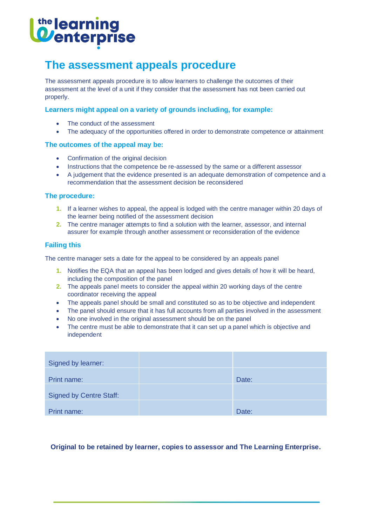# <sup>the</sup> learning<br>**Wenterprise**

## **The assessment appeals procedure**

The assessment appeals procedure is to allow learners to challenge the outcomes of their assessment at the level of a unit if they consider that the assessment has not been carried out properly.

### **Learners might appeal on a variety of grounds including, for example:**

- The conduct of the assessment
- The adequacy of the opportunities offered in order to demonstrate competence or attainment

## **The outcomes of the appeal may be:**

- Confirmation of the original decision
- Instructions that the competence be re-assessed by the same or a different assessor
- A judgement that the evidence presented is an adequate demonstration of competence and a recommendation that the assessment decision be reconsidered

#### **The procedure:**

- **1.** If a learner wishes to appeal, the appeal is lodged with the centre manager within 20 days of the learner being notified of the assessment decision
- **2.** The centre manager attempts to find a solution with the learner, assessor, and internal assurer for example through another assessment or reconsideration of the evidence

## **Failing this**

The centre manager sets a date for the appeal to be considered by an appeals panel

- **1.** Notifies the EQA that an appeal has been lodged and gives details of how it will be heard, including the composition of the panel
- **2.** The appeals panel meets to consider the appeal within 20 working days of the centre coordinator receiving the appeal
- The appeals panel should be small and constituted so as to be objective and independent
- The panel should ensure that it has full accounts from all parties involved in the assessment
- No one involved in the original assessment should be on the panel
- The centre must be able to demonstrate that it can set up a panel which is objective and independent

| Signed by learner:             |       |
|--------------------------------|-------|
| Print name:                    | Date: |
| <b>Signed by Centre Staff:</b> |       |
| Print name:                    | Date: |

## **Original to be retained by learner, copies to assessor and The Learning Enterprise.**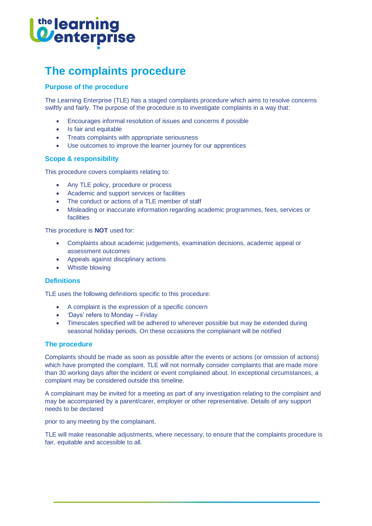# the learning<br>**Wenterprise**

# **The complaints procedure**

## **Purpose of the procedure**

The Learning Enterprise (TLE) has a staged complaints procedure which aims to resolve concerns swiftly and fairly. The purpose of the procedure is to investigate complaints in a way that:

- Encourages informal resolution of issues and concerns if possible
- Is fair and equitable
- Treats complaints with appropriate seriousness
- Use outcomes to improve the learner journey for our apprentices

#### **Scope & responsibility**

This procedure covers complaints relating to:

- Any TLE policy, procedure or process
- Academic and support services or facilities
- The conduct or actions of a TLE member of staff
- Misleading or inaccurate information regarding academic programmes, fees, services or facilities

This procedure is **NOT** used for:

- Complaints about academic judgements, examination decisions, academic appeal or assessment outcomes
- Appeals against disciplinary actions
- Whistle blowing

#### **Definitions**

TLE uses the following definitions specific to this procedure:

- A complaint is the expression of a specific concern
- 'Days' refers to Monday Friday
- Timescales specified will be adhered to wherever possible but may be extended during seasonal holiday periods. On these occasions the complainant will be notified

#### **The procedure**

Complaints should be made as soon as possible after the events or actions (or omission of actions) which have prompted the complaint. TLE will not normally consider complaints that are made more than 30 working days after the incident or event complained about. In exceptional circumstances, a complaint may be considered outside this timeline.

A complainant may be invited for a meeting as part of any investigation relating to the complaint and may be accompanied by a parent/carer, employer or other representative. Details of any support needs to be declared

prior to any meeting by the complainant.

TLE will make reasonable adjustments, where necessary, to ensure that the complaints procedure is fair, equitable and accessible to all.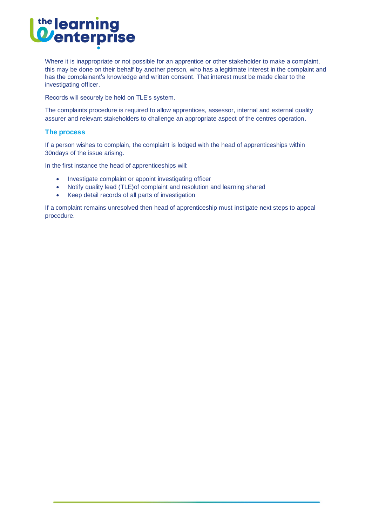# the learning<br>**O**enterprise

Where it is inappropriate or not possible for an apprentice or other stakeholder to make a complaint, this may be done on their behalf by another person, who has a legitimate interest in the complaint and has the complainant's knowledge and written consent. That interest must be made clear to the investigating officer.

Records will securely be held on TLE's system.

The complaints procedure is required to allow apprentices, assessor, internal and external quality assurer and relevant stakeholders to challenge an appropriate aspect of the centres operation.

#### **The process**

If a person wishes to complain, the complaint is lodged with the head of apprenticeships within 30ndays of the issue arising.

In the first instance the head of apprenticeships will:

- Investigate complaint or appoint investigating officer
- Notify quality lead (TLE)of complaint and resolution and learning shared
- Keep detail records of all parts of investigation

If a complaint remains unresolved then head of apprenticeship must instigate next steps to appeal procedure.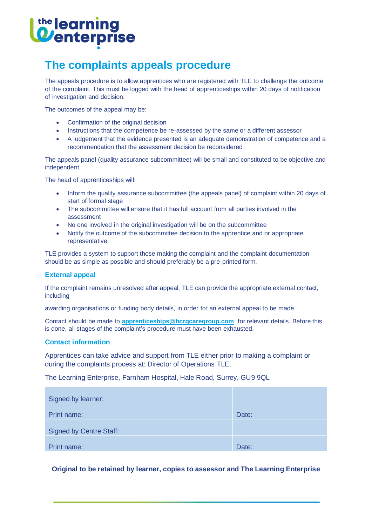# <sup>the</sup> learning<br>**Wenterprise**

# **The complaints appeals procedure**

The appeals procedure is to allow apprentices who are registered with TLE to challenge the outcome of the complaint. This must be logged with the head of apprenticeships within 20 days of notification of investigation and decision.

The outcomes of the appeal may be:

- Confirmation of the original decision
- Instructions that the competence be re-assessed by the same or a different assessor
- A judgement that the evidence presented is an adequate demonstration of competence and a recommendation that the assessment decision be reconsidered

The appeals panel (quality assurance subcommittee) will be small and constituted to be objective and independent.

The head of apprenticeships will:

- Inform the quality assurance subcommittee (the appeals panel) of complaint within 20 days of start of formal stage
- The subcommittee will ensure that it has full account from all parties involved in the assessment
- No one involved in the original investigation will be on the subcommittee
- Notify the outcome of the subcommittee decision to the apprentice and or appropriate representative

TLE provides a system to support those making the complaint and the complaint documentation should be as simple as possible and should preferably be a pre-printed form.

#### **External appeal**

If the complaint remains unresolved after appeal, TLE can provide the appropriate external contact, including

awarding organisations or funding body details, in order for an external appeal to be made.

Contact should be made to **[apprenticeships@hcrgcaregroup.com](mailto:apprenticeships@hcrgcaregroup.com)** for relevant details. Before this is done, all stages of the complaint's procedure must have been exhausted.

#### **Contact information**

Apprentices can take advice and support from TLE either prior to making a complaint or during the complaints process at: Director of Operations TLE.

The Learning Enterprise, Farnham Hospital, Hale Road, Surrey, GU9 9QL

| Signed by learner:             |       |
|--------------------------------|-------|
| Print name:                    | Date: |
| <b>Signed by Centre Staff:</b> |       |
| Print name:                    | Date: |

## **Original to be retained by learner, copies to assessor and The Learning Enterprise**